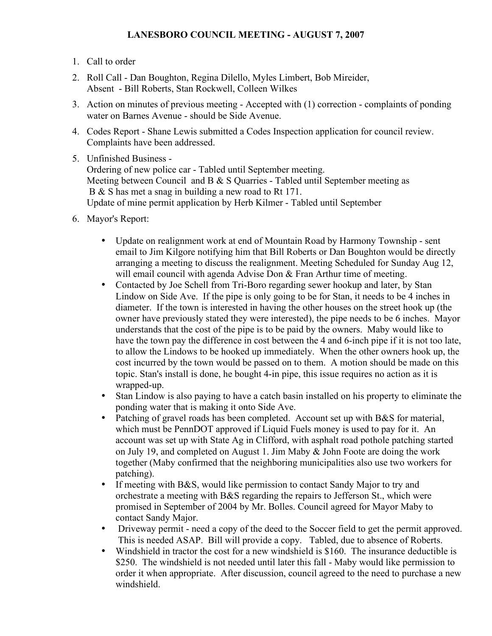## **LANESBORO COUNCIL MEETING - AUGUST 7, 2007**

- 1. Call to order
- 2. Roll Call Dan Boughton, Regina Dilello, Myles Limbert, Bob Mireider, Absent - Bill Roberts, Stan Rockwell, Colleen Wilkes
- 3. Action on minutes of previous meeting Accepted with (1) correction complaints of ponding water on Barnes Avenue - should be Side Avenue.
- 4. Codes Report Shane Lewis submitted a Codes Inspection application for council review. Complaints have been addressed.
- 5. Unfinished Business -

Ordering of new police car - Tabled until September meeting. Meeting between Council and B & S Quarries - Tabled until September meeting as B & S has met a snag in building a new road to Rt 171. Update of mine permit application by Herb Kilmer - Tabled until September

- 6. Mayor's Report:
	- Update on realignment work at end of Mountain Road by Harmony Township sent email to Jim Kilgore notifying him that Bill Roberts or Dan Boughton would be directly arranging a meeting to discuss the realignment. Meeting Scheduled for Sunday Aug 12, will email council with agenda Advise Don & Fran Arthur time of meeting.
	- Contacted by Joe Schell from Tri-Boro regarding sewer hookup and later, by Stan Lindow on Side Ave. If the pipe is only going to be for Stan, it needs to be 4 inches in diameter. If the town is interested in having the other houses on the street hook up (the owner have previously stated they were interested), the pipe needs to be 6 inches. Mayor understands that the cost of the pipe is to be paid by the owners. Maby would like to have the town pay the difference in cost between the 4 and 6-inch pipe if it is not too late, to allow the Lindows to be hooked up immediately. When the other owners hook up, the cost incurred by the town would be passed on to them. A motion should be made on this topic. Stan's install is done, he bought 4-in pipe, this issue requires no action as it is wrapped-up.
	- Stan Lindow is also paying to have a catch basin installed on his property to eliminate the ponding water that is making it onto Side Ave.
	- Patching of gravel roads has been completed. Account set up with B&S for material, which must be PennDOT approved if Liquid Fuels money is used to pay for it. An account was set up with State Ag in Clifford, with asphalt road pothole patching started on July 19, and completed on August 1. Jim Maby & John Foote are doing the work together (Maby confirmed that the neighboring municipalities also use two workers for patching).
	- If meeting with B&S, would like permission to contact Sandy Major to try and orchestrate a meeting with B&S regarding the repairs to Jefferson St., which were promised in September of 2004 by Mr. Bolles. Council agreed for Mayor Maby to contact Sandy Major.
	- Driveway permit need a copy of the deed to the Soccer field to get the permit approved. This is needed ASAP. Bill will provide a copy. Tabled, due to absence of Roberts.
	- Windshield in tractor the cost for a new windshield is \$160. The insurance deductible is \$250. The windshield is not needed until later this fall - Maby would like permission to order it when appropriate. After discussion, council agreed to the need to purchase a new windshield.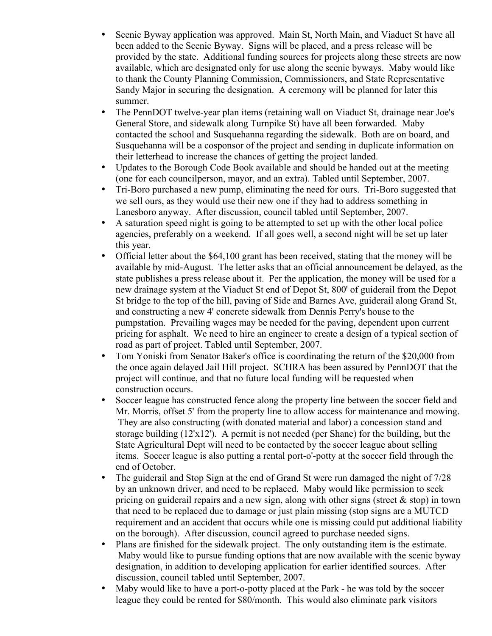- Scenic Byway application was approved. Main St, North Main, and Viaduct St have all been added to the Scenic Byway. Signs will be placed, and a press release will be provided by the state. Additional funding sources for projects along these streets are now available, which are designated only for use along the scenic byways. Maby would like to thank the County Planning Commission, Commissioners, and State Representative Sandy Major in securing the designation. A ceremony will be planned for later this summer.
- The PennDOT twelve-year plan items (retaining wall on Viaduct St, drainage near Joe's General Store, and sidewalk along Turnpike St) have all been forwarded. Maby contacted the school and Susquehanna regarding the sidewalk. Both are on board, and Susquehanna will be a cosponsor of the project and sending in duplicate information on their letterhead to increase the chances of getting the project landed.
- Updates to the Borough Code Book available and should be handed out at the meeting (one for each councilperson, mayor, and an extra). Tabled until September, 2007.
- Tri-Boro purchased a new pump, eliminating the need for ours. Tri-Boro suggested that we sell ours, as they would use their new one if they had to address something in Lanesboro anyway. After discussion, council tabled until September, 2007.
- A saturation speed night is going to be attempted to set up with the other local police agencies, preferably on a weekend. If all goes well, a second night will be set up later this year.
- Official letter about the \$64,100 grant has been received, stating that the money will be available by mid-August. The letter asks that an official announcement be delayed, as the state publishes a press release about it. Per the application, the money will be used for a new drainage system at the Viaduct St end of Depot St, 800' of guiderail from the Depot St bridge to the top of the hill, paving of Side and Barnes Ave, guiderail along Grand St, and constructing a new 4' concrete sidewalk from Dennis Perry's house to the pumpstation. Prevailing wages may be needed for the paving, dependent upon current pricing for asphalt. We need to hire an engineer to create a design of a typical section of road as part of project. Tabled until September, 2007.
- Tom Yoniski from Senator Baker's office is coordinating the return of the \$20,000 from the once again delayed Jail Hill project. SCHRA has been assured by PennDOT that the project will continue, and that no future local funding will be requested when construction occurs.
- Soccer league has constructed fence along the property line between the soccer field and Mr. Morris, offset 5' from the property line to allow access for maintenance and mowing. They are also constructing (with donated material and labor) a concession stand and storage building (12'x12'). A permit is not needed (per Shane) for the building, but the State Agricultural Dept will need to be contacted by the soccer league about selling items. Soccer league is also putting a rental port-o'-potty at the soccer field through the end of October.
- The guiderail and Stop Sign at the end of Grand St were run damaged the night of 7/28 by an unknown driver, and need to be replaced. Maby would like permission to seek pricing on guiderail repairs and a new sign, along with other signs (street  $\&$  stop) in town that need to be replaced due to damage or just plain missing (stop signs are a MUTCD requirement and an accident that occurs while one is missing could put additional liability on the borough). After discussion, council agreed to purchase needed signs.
- Plans are finished for the sidewalk project. The only outstanding item is the estimate. Maby would like to pursue funding options that are now available with the scenic byway designation, in addition to developing application for earlier identified sources. After discussion, council tabled until September, 2007.
- Maby would like to have a port-o-potty placed at the Park he was told by the soccer league they could be rented for \$80/month. This would also eliminate park visitors